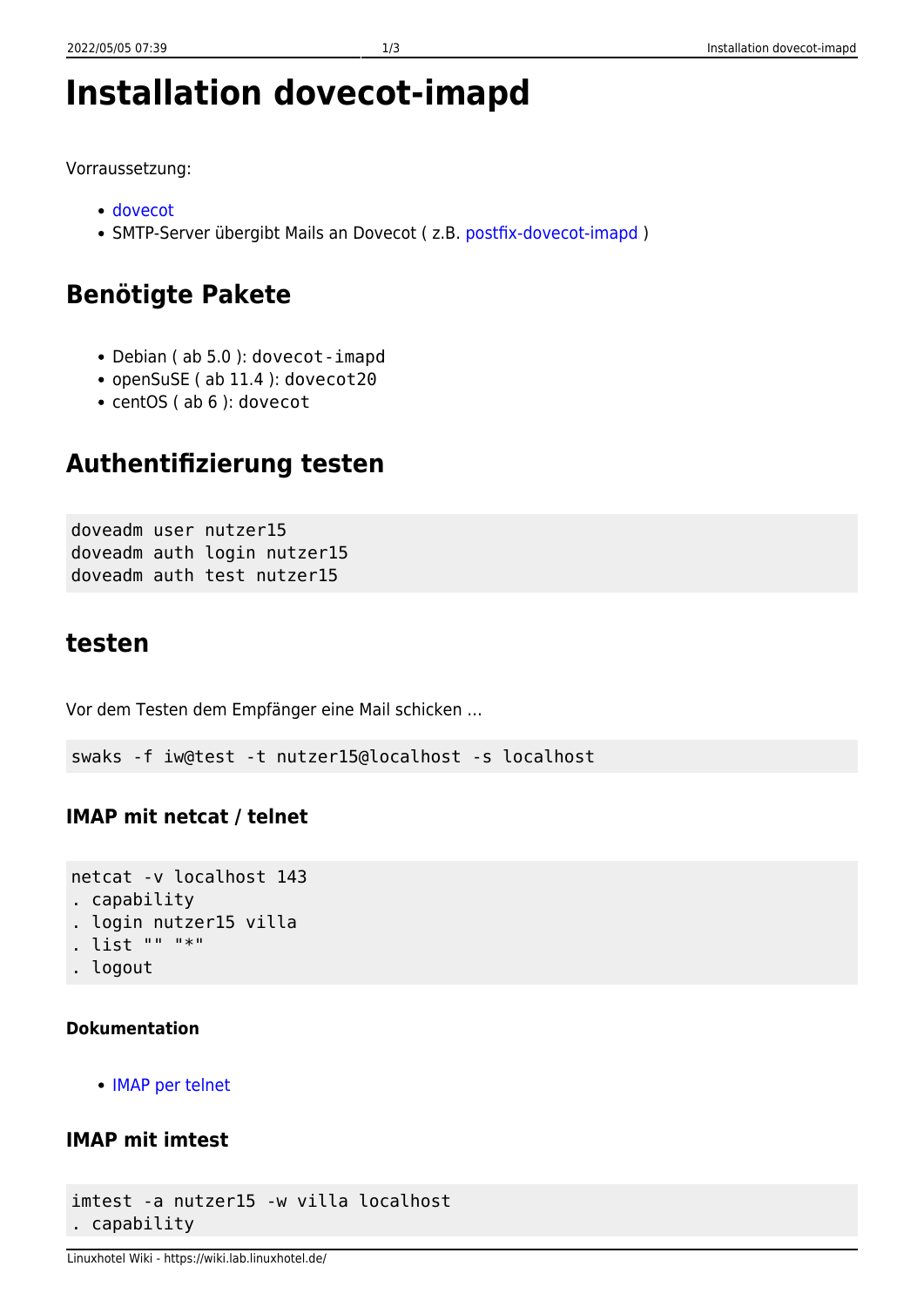# **Installation dovecot-imapd**

Vorraussetzung:

- [dovecot](https://wiki.lab.linuxhotel.de/doku.php/lpi2:dovecot)
- SMTP-Server übergibt Mails an Dovecot (z.B. [postfix-dovecot-imapd](https://wiki.lab.linuxhotel.de/doku.php/lpi2:postfix-dovecot-imapd))

# **Benötigte Pakete**

- Debian ( ab 5.0 ): dovecot-imapd
- openSuSE ( ab 11.4 ): dovecot20
- centOS ( ab 6 ): dovecot

# **Authentifizierung testen**

doveadm user nutzer15 doveadm auth login nutzer15 doveadm auth test nutzer15

### **testen**

Vor dem Testen dem Empfänger eine Mail schicken …

swaks -f iw@test -t nutzer15@localhost -s localhost

### **IMAP mit netcat / telnet**

```
netcat -v localhost 143
. capability
. login nutzer15 villa
. list "" "*"
. logout
```
#### **Dokumentation**

[IMAP per telnet](http://www.bobpeers.com/technical/telnet_imap)

### **IMAP mit imtest**

```
imtest -a nutzer15 -w villa localhost
. capability
```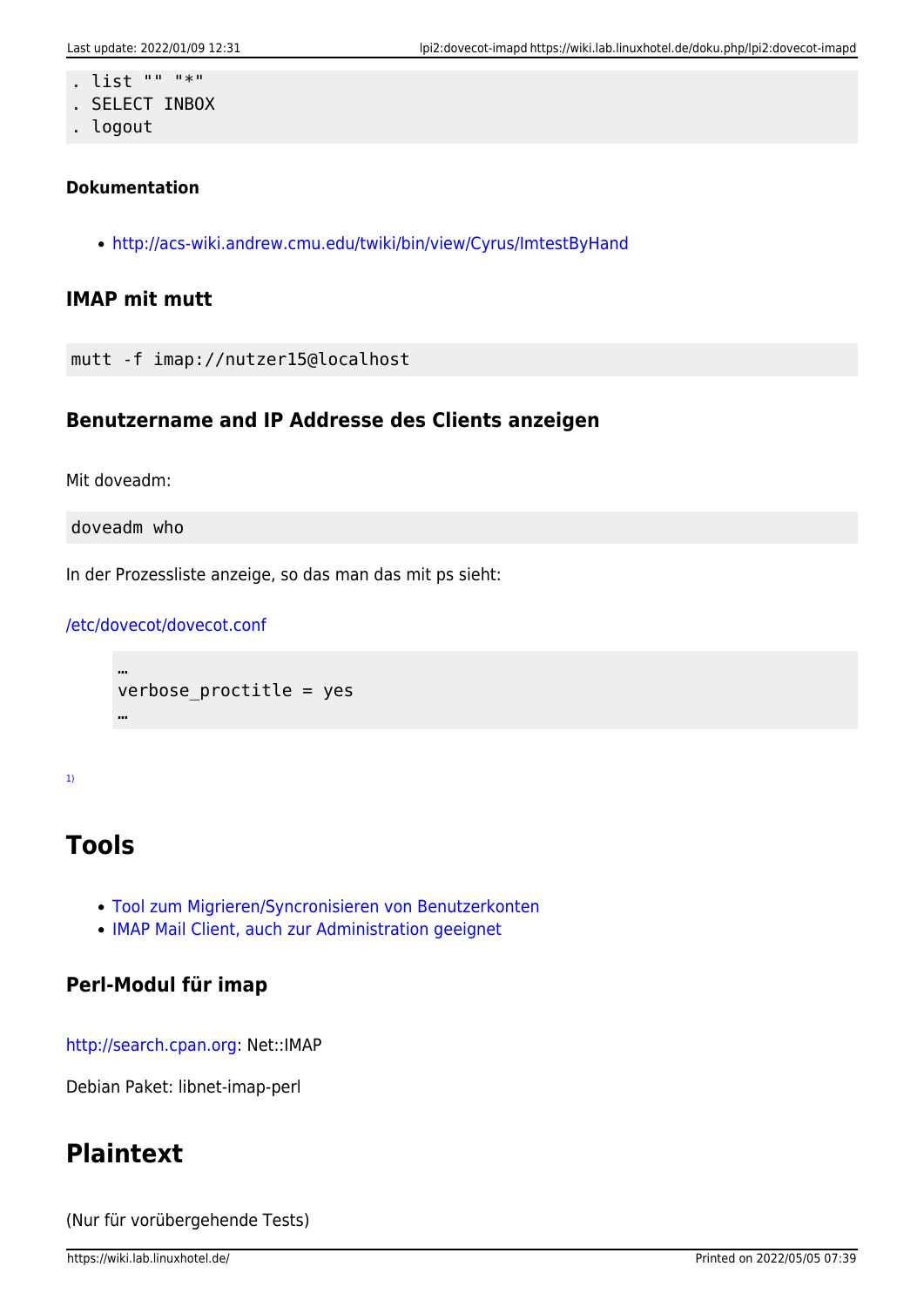- . list "" "\*"
- . SELECT INBOX
- . logout

#### **Dokumentation**

<http://acs-wiki.andrew.cmu.edu/twiki/bin/view/Cyrus/ImtestByHand>

### **IMAP mit mutt**

mutt -f imap://nutzer15@localhost

#### **Benutzername and IP Addresse des Clients anzeigen**

Mit doveadm:

doveadm who

In der Prozessliste anzeige, so das man das mit ps sieht:

#### [/etc/dovecot/dovecot.conf](https://wiki.lab.linuxhotel.de/doku.php/lpi2:dovecot-imapd?do=export_code&codeblock=0)

```
…
verbose_proctitle = yes
…
```
[1\)](#page--1-0)

## **Tools**

- [Tool zum Migrieren/Syncronisieren von Benutzerkonten](http://freshmeat.net/projects/imapsync/)
- [IMAP Mail Client, auch zur Administration geeignet](http://www.mulberrymail.com/)

### **Perl-Modul für imap**

[http://search.cpan.org:](http://search.cpan.org) Net::IMAP

Debian Paket: libnet-imap-perl

### **Plaintext**

(Nur für vorübergehende Tests)